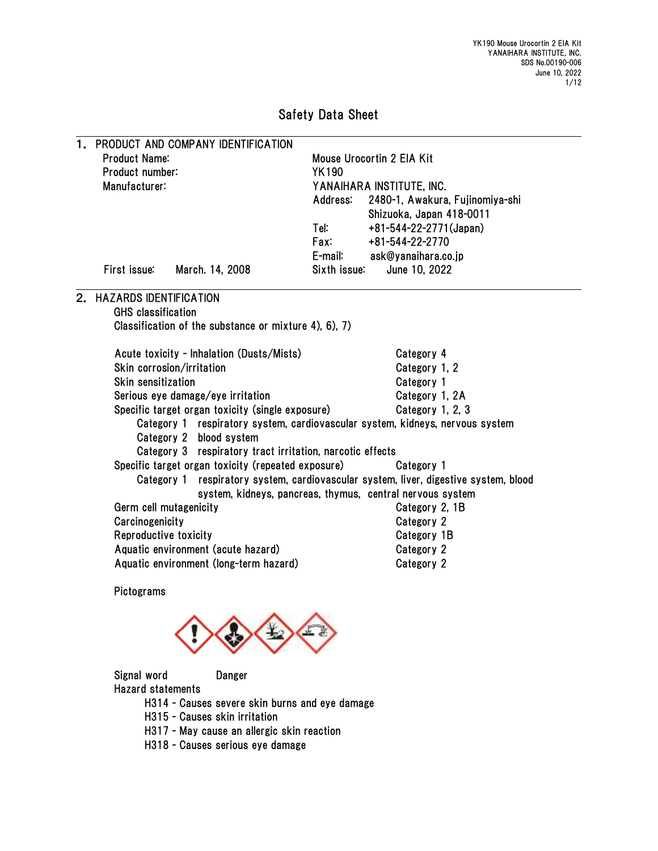# Safety Data Sheet

| 1.            |                               | PRODUCT AND COMPANY IDENTIFICATION                        |                                           |                                                                               |  |  |
|---------------|-------------------------------|-----------------------------------------------------------|-------------------------------------------|-------------------------------------------------------------------------------|--|--|
|               | <b>Product Name:</b>          |                                                           | Mouse Urocortin 2 EIA Kit<br><b>YK190</b> |                                                                               |  |  |
|               | Product number:               |                                                           |                                           |                                                                               |  |  |
| Manufacturer: |                               |                                                           | YANAIHARA INSTITUTE, INC.                 |                                                                               |  |  |
|               |                               |                                                           | Address:                                  | 2480-1, Awakura, Fujinomiya-shi                                               |  |  |
|               |                               |                                                           |                                           | Shizuoka, Japan 418-0011                                                      |  |  |
|               |                               |                                                           | Tel:                                      | +81-544-22-2771(Japan)                                                        |  |  |
|               |                               |                                                           | Fax:                                      | +81-544-22-2770                                                               |  |  |
|               |                               |                                                           | E-mail:                                   | ask@yanaihara.co.jp                                                           |  |  |
|               | First issue:                  | March. 14, 2008                                           | Sixth issue:                              | June 10, 2022                                                                 |  |  |
| 2.            | <b>HAZARDS IDENTIFICATION</b> |                                                           |                                           |                                                                               |  |  |
|               | <b>GHS</b> classification     |                                                           |                                           |                                                                               |  |  |
|               |                               | Classification of the substance or mixture 4), 6), 7)     |                                           |                                                                               |  |  |
|               |                               | Acute toxicity - Inhalation (Dusts/Mists)                 |                                           | Category 4                                                                    |  |  |
|               | Skin corrosion/irritation     |                                                           |                                           | Category 1, 2                                                                 |  |  |
|               | Skin sensitization            |                                                           |                                           | Category 1                                                                    |  |  |
|               |                               | Serious eye damage/eye irritation                         |                                           | Category 1, 2A                                                                |  |  |
|               |                               | Specific target organ toxicity (single exposure)          |                                           | Category 1, 2, 3                                                              |  |  |
|               |                               |                                                           |                                           | Category 1 respiratory system, cardiovascular system, kidneys, nervous system |  |  |
|               |                               | Category 2 blood system                                   |                                           |                                                                               |  |  |
|               |                               | Category 3 respiratory tract irritation, narcotic effects |                                           |                                                                               |  |  |
|               |                               | Specific target organ toxicity (repeated exposure)        |                                           | Category 1                                                                    |  |  |
|               | Category 1                    |                                                           |                                           | respiratory system, cardiovascular system, liver, digestive system, blood     |  |  |
|               |                               |                                                           |                                           | system, kidneys, pancreas, thymus, central nervous system                     |  |  |
|               | Germ cell mutagenicity        |                                                           |                                           | Category 2, 1B                                                                |  |  |
|               | Carcinogenicity               |                                                           |                                           | Category 2                                                                    |  |  |
|               | Reproductive toxicity         |                                                           |                                           | Category 1B                                                                   |  |  |
|               |                               | Aquatic environment (acute hazard)                        |                                           | Category 2                                                                    |  |  |
|               |                               | Aquatic environment (long-term hazard)                    |                                           | Category 2                                                                    |  |  |
|               | Pictograms                    |                                                           |                                           |                                                                               |  |  |
|               |                               |                                                           |                                           |                                                                               |  |  |
|               | Signal word                   | Danger                                                    |                                           |                                                                               |  |  |

Hazard statements

H314 - Causes severe skin burns and eye damage

- H315 Causes skin irritation
- H317 May cause an allergic skin reaction
- H318 Causes serious eye damage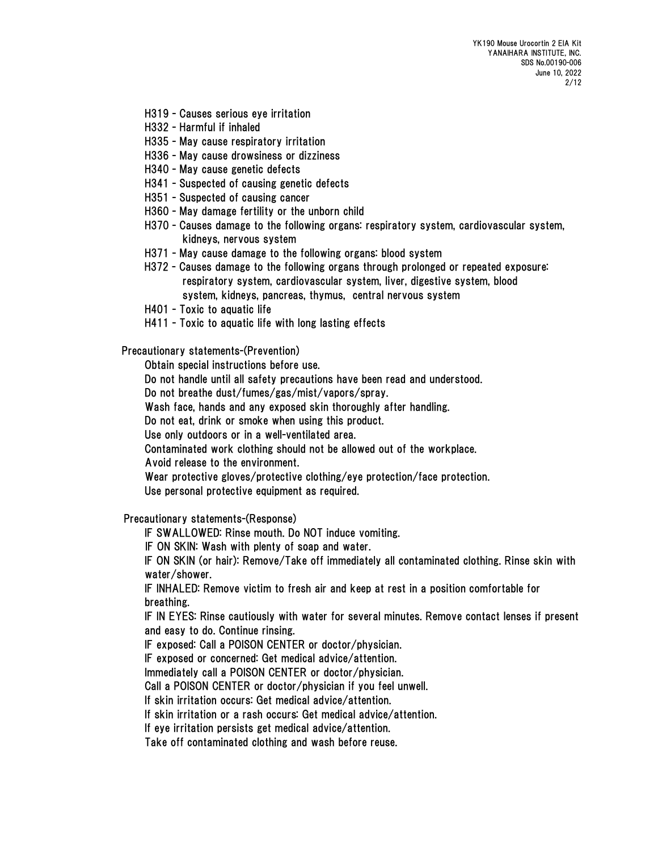- H319 Causes serious eye irritation
- H332 Harmful if inhaled
- H335 May cause respiratory irritation
- H336 May cause drowsiness or dizziness
- H340 May cause genetic defects
- H341 Suspected of causing genetic defects
- H351 Suspected of causing cancer
- H360 May damage fertility or the unborn child
- H370 Causes damage to the following organs: respiratory system, cardiovascular system, kidneys, nervous system
- H371 May cause damage to the following organs: blood system
- H372 Causes damage to the following organs through prolonged or repeated exposure: respiratory system, cardiovascular system, liver, digestive system, blood system, kidneys, pancreas, thymus, central nervous system
- H401 Toxic to aquatic life
- H411 Toxic to aquatic life with long lasting effects

Precautionary statements-(Prevention)

Obtain special instructions before use.

Do not handle until all safety precautions have been read and understood.

Do not breathe dust/fumes/gas/mist/vapors/spray.

Wash face, hands and any exposed skin thoroughly after handling.

Do not eat, drink or smoke when using this product.

Use only outdoors or in a well-ventilated area.

Contaminated work clothing should not be allowed out of the workplace.

Avoid release to the environment.

Wear protective gloves/protective clothing/eye protection/face protection.

Use personal protective equipment as required.

Precautionary statements-(Response)

IF SWALLOWED: Rinse mouth. Do NOT induce vomiting.

IF ON SKIN: Wash with plenty of soap and water.

IF ON SKIN (or hair): Remove/Take off immediately all contaminated clothing. Rinse skin with water/shower.

IF INHALED: Remove victim to fresh air and keep at rest in a position comfortable for breathing.

IF IN EYES: Rinse cautiously with water for several minutes. Remove contact lenses if present and easy to do. Continue rinsing.

IF exposed: Call a POISON CENTER or doctor/physician.

IF exposed or concerned: Get medical advice/attention.

Immediately call a POISON CENTER or doctor/physician.

Call a POISON CENTER or doctor/physician if you feel unwell.

If skin irritation occurs: Get medical advice/attention.

If skin irritation or a rash occurs: Get medical advice/attention.

If eye irritation persists get medical advice/attention.

Take off contaminated clothing and wash before reuse.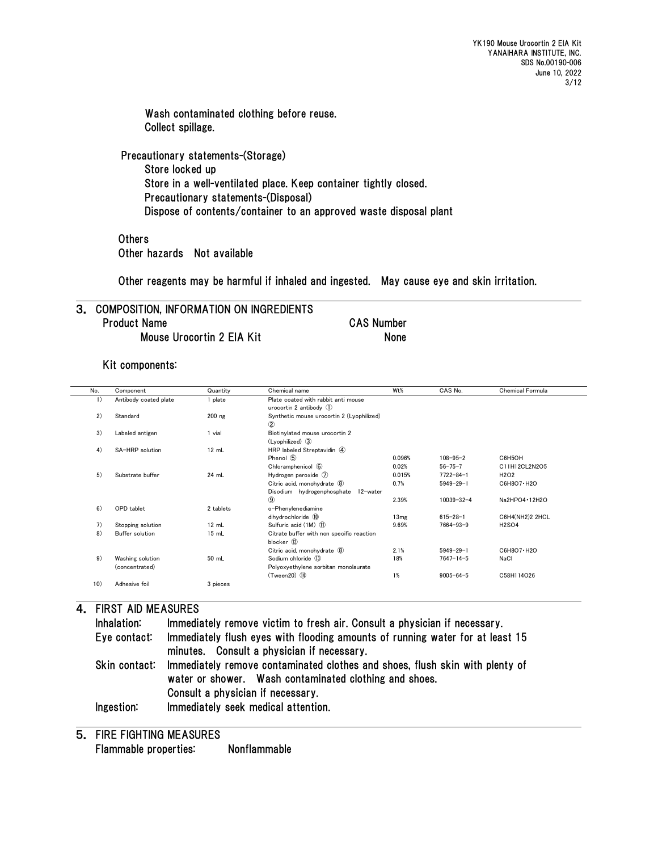Wash contaminated clothing before reuse. Collect spillage.

Precautionary statements-(Storage) Store locked up Store in a well-ventilated place. Keep container tightly closed. Precautionary statements-(Disposal) Dispose of contents/container to an approved waste disposal plant

**Others** Other hazards Not available

Other reagents may be harmful if inhaled and ingested. May cause eye and skin irritation.

## 3. COMPOSITION, INFORMATION ON INGREDIENTS Product Name CAS Number Mouse Urocortin 2 EIA Kit
None

Kit components:

| No. | Component             | Quantity  | Chemical name                             | Wt%    | CAS No.          | Chemical Formula              |
|-----|-----------------------|-----------|-------------------------------------------|--------|------------------|-------------------------------|
| 1)  | Antibody coated plate | 1 plate   | Plate coated with rabbit anti mouse       |        |                  |                               |
|     |                       |           | urocortin 2 antibody $(1)$                |        |                  |                               |
| 2)  | Standard              | $200$ ng  | Synthetic mouse urocortin 2 (Lyophilized) |        |                  |                               |
|     |                       |           | $^{\circ}$                                |        |                  |                               |
| 3)  | Labeled antigen       | 1 vial    | Biotinylated mouse urocortin 2            |        |                  |                               |
|     |                       |           | (Lyophilized) 3                           |        |                  |                               |
| 4)  | SA-HRP solution       | 12 mL     | HRP labeled Streptavidin 4                |        |                  |                               |
|     |                       |           | Phenol 5                                  | 0.096% | $108 - 95 - 2$   | C6H5OH                        |
|     |                       |           | Chloramphenicol 6                         | 0.02%  | $56 - 75 - 7$    | C11H12CL2N2O5                 |
| 5)  | Substrate buffer      | 24 mL     | Hydrogen peroxide $(7)$                   | 0.015% | $7722 - 84 - 1$  | H <sub>2</sub> O <sub>2</sub> |
|     |                       |           | Citric acid. monohydrate (8)              | 0.7%   | $5949 - 29 - 1$  | C6H8O7 · H2O                  |
|     |                       |           | Disodium hydrogenphosphate 12-water       |        |                  |                               |
|     |                       |           | $\circled{9}$                             | 2.39%  | $10039 - 32 - 4$ | Na2HPO4 · 12H2O               |
| 6)  | OPD tablet            | 2 tablets | o-Phenvlenediamine                        |        |                  |                               |
|     |                       |           | dihydrochloride 10                        | 13mg   | $615 - 28 - 1$   | C6H4(NH2)2 2HCL               |
| 7)  | Stopping solution     | 12 mL     | Sulfuric acid (1M) (1)                    | 9.69%  | $7664 - 93 - 9$  | <b>H2SO4</b>                  |
| 8)  | Buffer solution       | 15 mL     | Citrate buffer with non specific reaction |        |                  |                               |
|     |                       |           | blocker 12                                |        |                  |                               |
|     |                       |           | Citric acid, monohydrate 8                | 2.1%   | $5949 - 29 - 1$  | C6H8O7 · H2O                  |
| 9)  | Washing solution      | 50 mL     | Sodium chloride 13                        | 18%    | $7647 - 14 - 5$  | NaCl                          |
|     | (concentrated)        |           | Polyoxyethylene sorbitan monolaurate      |        |                  |                               |
|     |                       |           | $(Tween 20)$ $(I)$                        | 1%     | $9005 - 64 - 5$  | C58H114O26                    |
| 10) | Adhesive foil         | 3 pieces  |                                           |        |                  |                               |
|     |                       |           |                                           |        |                  |                               |

## 4. FIRST AID MEASURES

| Inhalation:   | Immediately remove victim to fresh air. Consult a physician if necessary.                                                              |
|---------------|----------------------------------------------------------------------------------------------------------------------------------------|
| Eye contact:  | Immediately flush eyes with flooding amounts of running water for at least 15<br>minutes. Consult a physician if necessary.            |
| Skin contact: | Immediately remove contaminated clothes and shoes, flush skin with plenty of<br>water or shower. Wash contaminated clothing and shoes. |
|               | Consult a physician if necessary.                                                                                                      |
| Ingestion:    | Immediately seek medical attention.                                                                                                    |

5. FIRE FIGHTING MEASURES Flammable properties: Nonflammable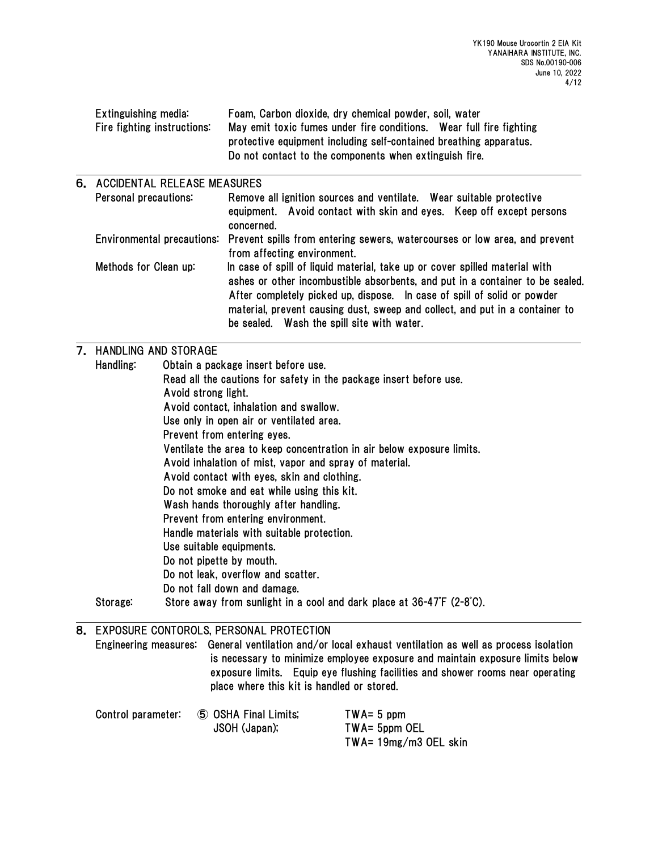|    | Extinguishing media:<br>Fire fighting instructions: | Foam, Carbon dioxide, dry chemical powder, soil, water<br>May emit toxic fumes under fire conditions. Wear full fire fighting<br>protective equipment including self-contained breathing apparatus.<br>Do not contact to the components when extinguish fire.                                                                                                          |  |  |  |  |  |
|----|-----------------------------------------------------|------------------------------------------------------------------------------------------------------------------------------------------------------------------------------------------------------------------------------------------------------------------------------------------------------------------------------------------------------------------------|--|--|--|--|--|
| 6. | <b>ACCIDENTAL RELEASE MEASURES</b>                  |                                                                                                                                                                                                                                                                                                                                                                        |  |  |  |  |  |
|    | Personal precautions:                               | Remove all ignition sources and ventilate. Wear suitable protective<br>equipment. Avoid contact with skin and eyes. Keep off except persons<br>concerned.                                                                                                                                                                                                              |  |  |  |  |  |
|    | Environmental precautions:                          | Prevent spills from entering sewers, watercourses or low area, and prevent<br>from affecting environment.                                                                                                                                                                                                                                                              |  |  |  |  |  |
|    | Methods for Clean up:                               | In case of spill of liquid material, take up or cover spilled material with<br>ashes or other incombustible absorbents, and put in a container to be sealed.<br>After completely picked up, dispose. In case of spill of solid or powder<br>material, prevent causing dust, sweep and collect, and put in a container to<br>be sealed. Wash the spill site with water. |  |  |  |  |  |
|    | 7. HANDLING AND STORAGE                             |                                                                                                                                                                                                                                                                                                                                                                        |  |  |  |  |  |
|    | Handling:                                           | Obtain a package insert before use.                                                                                                                                                                                                                                                                                                                                    |  |  |  |  |  |
|    |                                                     | Read all the cautions for safety in the package insert before use.                                                                                                                                                                                                                                                                                                     |  |  |  |  |  |
|    |                                                     | Avoid strong light.                                                                                                                                                                                                                                                                                                                                                    |  |  |  |  |  |
|    |                                                     | Avoid contact, inhalation and swallow.                                                                                                                                                                                                                                                                                                                                 |  |  |  |  |  |
|    |                                                     | Use only in open air or ventilated area.                                                                                                                                                                                                                                                                                                                               |  |  |  |  |  |
|    |                                                     | Prevent from entering eyes.                                                                                                                                                                                                                                                                                                                                            |  |  |  |  |  |
|    |                                                     | Ventilate the area to keep concentration in air below exposure limits.<br>Avoid inhalation of mist, vapor and spray of material.                                                                                                                                                                                                                                       |  |  |  |  |  |
|    |                                                     | Avoid contact with eyes, skin and clothing.                                                                                                                                                                                                                                                                                                                            |  |  |  |  |  |
|    |                                                     | Do not smoke and eat while using this kit.                                                                                                                                                                                                                                                                                                                             |  |  |  |  |  |
|    |                                                     | Wash hands thoroughly after handling.                                                                                                                                                                                                                                                                                                                                  |  |  |  |  |  |
|    |                                                     | Prevent from entering environment.                                                                                                                                                                                                                                                                                                                                     |  |  |  |  |  |
|    |                                                     | Handle materials with suitable protection.                                                                                                                                                                                                                                                                                                                             |  |  |  |  |  |
|    |                                                     |                                                                                                                                                                                                                                                                                                                                                                        |  |  |  |  |  |

Use suitable equipments.

Do not pipette by mouth.

Do not leak, overflow and scatter.

Do not fall down and damage.

Storage: Store away from sunlight in a cool and dark place at 36-47゚F (2-8゚C).

| 8. EXPOSURE CONTOROLS, PERSONAL PROTECTION        |  |                                                                                                                                                                                                                                                                                                                          |  |  |  |
|---------------------------------------------------|--|--------------------------------------------------------------------------------------------------------------------------------------------------------------------------------------------------------------------------------------------------------------------------------------------------------------------------|--|--|--|
|                                                   |  | Engineering measures: General ventilation and/or local exhaust ventilation as well as process isolation<br>is necessary to minimize employee exposure and maintain exposure limits below<br>exposure limits. Equip eye flushing facilities and shower rooms near operating<br>place where this kit is handled or stored. |  |  |  |
| $Control$ parameter: $(5)$ $OSHA$ $Final$ $limit$ |  | $TWA - 5$ nnm                                                                                                                                                                                                                                                                                                            |  |  |  |

| Control parameter: | 5 OSHA Final Limits; | $TWA = 5$ ppm         |  |  |
|--------------------|----------------------|-----------------------|--|--|
|                    | JSOH (Japan);        | TWA= 5ppm OEL         |  |  |
|                    |                      | TWA= 19mg/m3 OEL skin |  |  |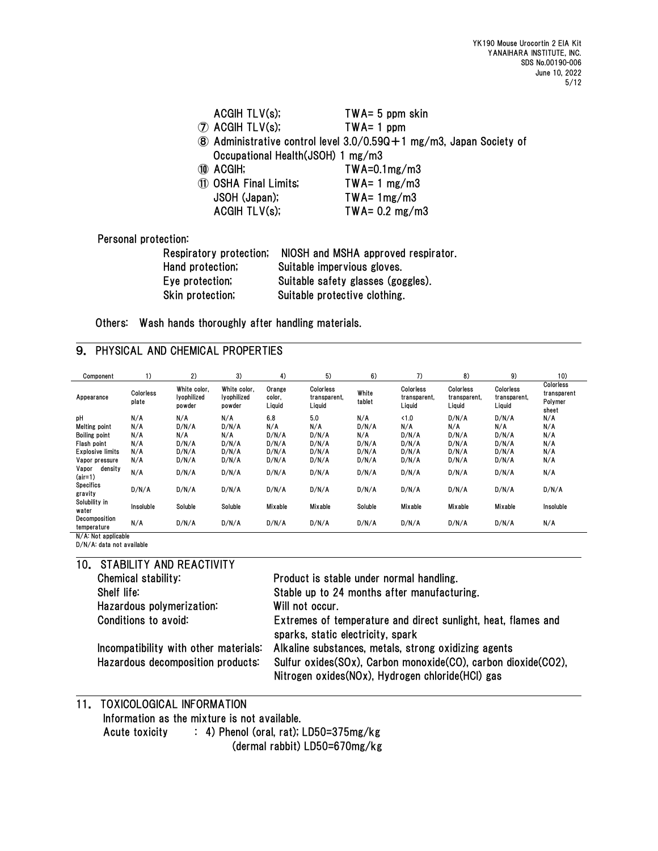|                      | ACGIH TLV(s);                                               | $TWA = 5$ ppm skin                                                             |
|----------------------|-------------------------------------------------------------|--------------------------------------------------------------------------------|
|                      | $\circledcirc$ ACGIH TLV(s);                                | $TWA = 1$ ppm                                                                  |
|                      |                                                             | $\circledR$ Administrative control level 3.0/0.590 + 1 mg/m3, Japan Society of |
|                      | Occupational Health (JSOH) 1 mg/m3                          |                                                                                |
|                      | 10 ACGIH;                                                   | $TWA = 0.1mg/m3$                                                               |
|                      | 11 OSHA Final Limits;                                       | $TWA = 1 mg/m3$                                                                |
|                      | JSOH (Japan);                                               | $TWA = 1mg/m3$                                                                 |
|                      | ACGHTLV(s);                                                 | TWA= $0.2 \text{ mg/m3}$                                                       |
|                      |                                                             |                                                                                |
| Personal protection: |                                                             |                                                                                |
|                      | Respiratory protection; NIOSH and MSHA approved respirator. |                                                                                |

| $11000111$ and $1 \overline{0}1$ be one controlly | $110011$ and $110111$ applying too the $1$ |
|---------------------------------------------------|--------------------------------------------|
| Hand protection;                                  | Suitable impervious gloves.                |
| Eve protection;                                   | Suitable safety glasses (goggles).         |
| Skin protection;                                  | Suitable protective clothing.              |

Others: Wash hands thoroughly after handling materials.

## 9. PHYSICAL AND CHEMICAL PROPERTIES

| Component                    | 1)                 | 2)                                    | 3)                                    | 4)                         | 5)                                  | 6)              | 7)                                  | 8)                                  | 9)                                  | 10)                                          |
|------------------------------|--------------------|---------------------------------------|---------------------------------------|----------------------------|-------------------------------------|-----------------|-------------------------------------|-------------------------------------|-------------------------------------|----------------------------------------------|
| Appearance                   | Colorless<br>plate | White color.<br>lyophilized<br>powder | White color.<br>Ivophilized<br>powder | Orange<br>color.<br>Liguid | Colorless<br>transparent,<br>Liquid | White<br>tablet | Colorless<br>transparent,<br>Liquid | Colorless<br>transparent,<br>Liquid | Colorless<br>transparent,<br>Liquid | Colorless<br>transparent<br>Polymer<br>sheet |
| pH                           | N/A                | N/A                                   | N/A                                   | 6.8                        | 5.0                                 | N/A             | <1.0                                | D/N/A                               | D/N/A                               | N/A                                          |
| Melting point                | N/A                | D/N/A                                 | D/N/A                                 | N/A                        | N/A                                 | D/N/A           | N/A                                 | N/A                                 | N/A                                 | N/A                                          |
| <b>Boiling point</b>         | N/A                | N/A                                   | N/A                                   | D/N/A                      | D/N/A                               | N/A             | D/N/A                               | D/N/A                               | D/N/A                               | N/A                                          |
| Flash point                  | N/A                | D/N/A                                 | D/N/A                                 | D/N/A                      | D/N/A                               | D/N/A           | D/N/A                               | D/N/A                               | D/N/A                               | N/A                                          |
| Explosive limits             | N/A                | D/N/A                                 | D/N/A                                 | D/N/A                      | D/N/A                               | D/N/A           | D/N/A                               | D/N/A                               | D/N/A                               | N/A                                          |
| Vapor pressure               | N/A                | D/N/A                                 | D/N/A                                 | D/N/A                      | D/N/A                               | D/N/A           | D/N/A                               | D/N/A                               | D/N/A                               | N/A                                          |
| density<br>Vapor<br>$air=1)$ | N/A                | D/N/A                                 | D/N/A                                 | D/N/A                      | D/N/A                               | D/N/A           | D/N/A                               | D/N/A                               | D/N/A                               | N/A                                          |
| <b>Specifics</b><br>gravity  | D/N/A              | D/N/A                                 | D/N/A                                 | D/N/A                      | D/N/A                               | D/N/A           | D/N/A                               | D/N/A                               | D/N/A                               | D/N/A                                        |
| Solubility in<br>water       | Insoluble          | Soluble                               | Soluble                               | Mixable                    | Mixable                             | Soluble         | Mixable                             | Mixable                             | Mixable                             | Insoluble                                    |
| Decomposition<br>temperature | N/A                | D/N/A                                 | D/N/A                                 | D/N/A                      | D/N/A                               | D/N/A           | D/N/A                               | D/N/A                               | D/N/A                               | N/A                                          |
| MIA - Material Lable         |                    |                                       |                                       |                            |                                     |                 |                                     |                                     |                                     |                                              |

N/A: Not applicable D/N/A: data not available

10. STABILITY AND REACTIVITY

| Chemical stability:                                                        | Product is stable under normal handling.                                                                                                                                    |
|----------------------------------------------------------------------------|-----------------------------------------------------------------------------------------------------------------------------------------------------------------------------|
| Shelf life:                                                                | Stable up to 24 months after manufacturing.                                                                                                                                 |
| Hazardous polymerization:                                                  | Will not occur.                                                                                                                                                             |
| Conditions to avoid:                                                       | Extremes of temperature and direct sunlight, heat, flames and<br>sparks, static electricity, spark                                                                          |
| Incompatibility with other materials:<br>Hazardous decomposition products: | Alkaline substances, metals, strong oxidizing agents<br>Sulfur oxides(SOx), Carbon monoxide(CO), carbon dioxide(CO2),<br>Nitrogen oxides (NOx), Hydrogen chloride (HCl) gas |

# 11. TOXICOLOGICAL INFORMATION Information as the mixture is not available.

Acute toxicity : 4) Phenol (oral, rat); LD50=375mg/kg

(dermal rabbit) LD50=670mg/kg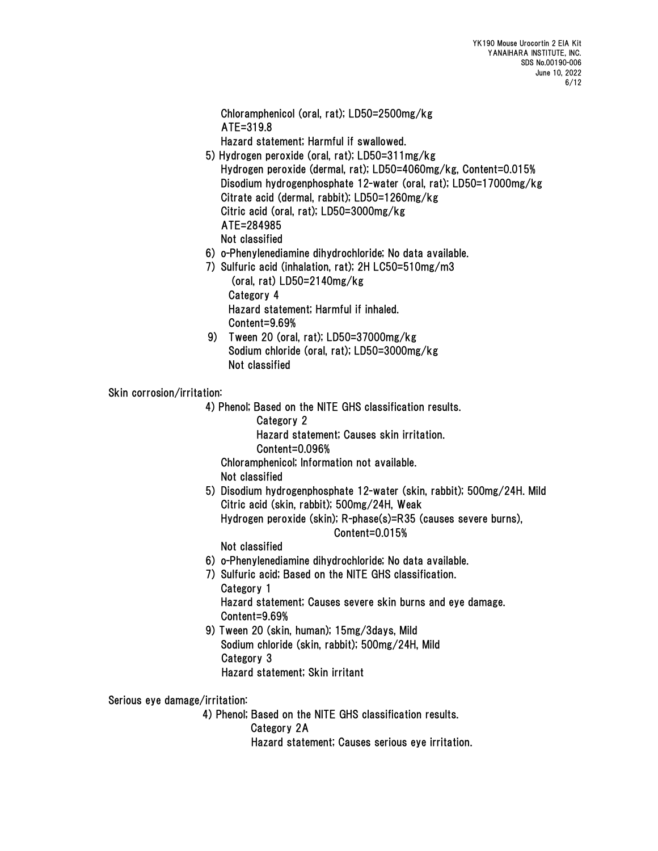Chloramphenicol (oral, rat); LD50=2500mg/kg ATE=319.8

Hazard statement; Harmful if swallowed.

- 5) Hydrogen peroxide (oral, rat); LD50=311mg/kg Hydrogen peroxide (dermal, rat); LD50=4060mg/kg, Content=0.015% Disodium hydrogenphosphate 12-water (oral, rat); LD50=17000mg/kg Citrate acid (dermal, rabbit); LD50=1260mg/kg Citric acid (oral, rat); LD50=3000mg/kg ATE=284985
	- Not classified
- 6) o-Phenylenediamine dihydrochloride; No data available.
- 7) Sulfuric acid (inhalation, rat); 2H LC50=510mg/m3 (oral, rat) LD50=2140mg/kg Category 4 Hazard statement; Harmful if inhaled. Content=9.69%
- 9) Tween 20 (oral, rat); LD50=37000mg/kg Sodium chloride (oral, rat); LD50=3000mg/kg Not classified

Skin corrosion/irritation:

4) Phenol; Based on the NITE GHS classification results.

Category 2

Hazard statement; Causes skin irritation.

Content=0.096%

Chloramphenicol; Information not available.

Not classified

5) Disodium hydrogenphosphate 12-water (skin, rabbit); 500mg/24H. Mild Citric acid (skin, rabbit); 500mg/24H, Weak Hydrogen peroxide (skin); R-phase(s)=R35 (causes severe burns), Content=0.015%

Not classified

- 6) o-Phenylenediamine dihydrochloride; No data available.
- 7) Sulfuric acid; Based on the NITE GHS classification. Category 1 Hazard statement; Causes severe skin burns and eye damage. Content=9.69%
- 9) Tween 20 (skin, human); 15mg/3days, Mild Sodium chloride (skin, rabbit); 500mg/24H, Mild Category 3 Hazard statement; Skin irritant

Serious eye damage/irritation:

4) Phenol; Based on the NITE GHS classification results.

Category 2A

Hazard statement; Causes serious eye irritation.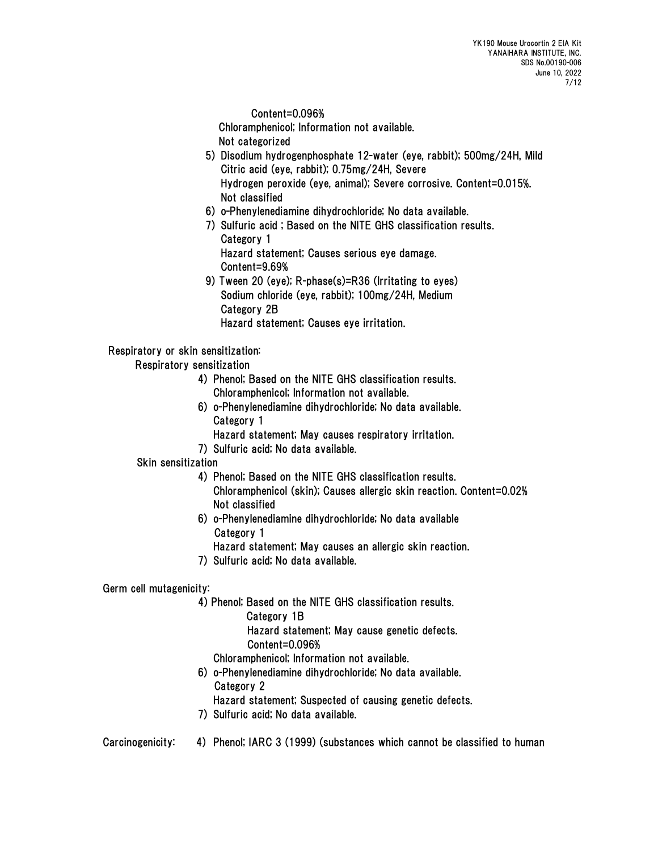Content=0.096%

Chloramphenicol; Information not available.

- Not categorized
- 5) Disodium hydrogenphosphate 12-water (eye, rabbit); 500mg/24H, Mild Citric acid (eye, rabbit); 0.75mg/24H, Severe Hydrogen peroxide (eye, animal); Severe corrosive. Content=0.015%. Not classified
- 6) o-Phenylenediamine dihydrochloride; No data available.
- 7) Sulfuric acid ; Based on the NITE GHS classification results. Category 1 Hazard statement; Causes serious eye damage. Content=9.69%
- 9) Tween 20 (eye); R-phase(s)=R36 (Irritating to eyes) Sodium chloride (eye, rabbit); 100mg/24H, Medium Category 2B Hazard statement; Causes eye irritation.

## Respiratory or skin sensitization:

Respiratory sensitization

- 4) Phenol; Based on the NITE GHS classification results. Chloramphenicol; Information not available.
- 6) o-Phenylenediamine dihydrochloride; No data available. Category 1
	- Hazard statement; May causes respiratory irritation.
- 7) Sulfuric acid; No data available.

### Skin sensitization

- 4) Phenol; Based on the NITE GHS classification results. Chloramphenicol (skin); Causes allergic skin reaction. Content=0.02% Not classified
- 6) o-Phenylenediamine dihydrochloride; No data available Category 1
	- Hazard statement; May causes an allergic skin reaction.
- 7) Sulfuric acid; No data available.

## Germ cell mutagenicity:

4) Phenol; Based on the NITE GHS classification results.

Category 1B

 Hazard statement; May cause genetic defects. Content=0.096%

- Chloramphenicol; Information not available.
- 6) o-Phenylenediamine dihydrochloride; No data available. Category 2
	- Hazard statement; Suspected of causing genetic defects.
- 7) Sulfuric acid; No data available.
- Carcinogenicity: 4) Phenol; IARC 3 (1999) (substances which cannot be classified to human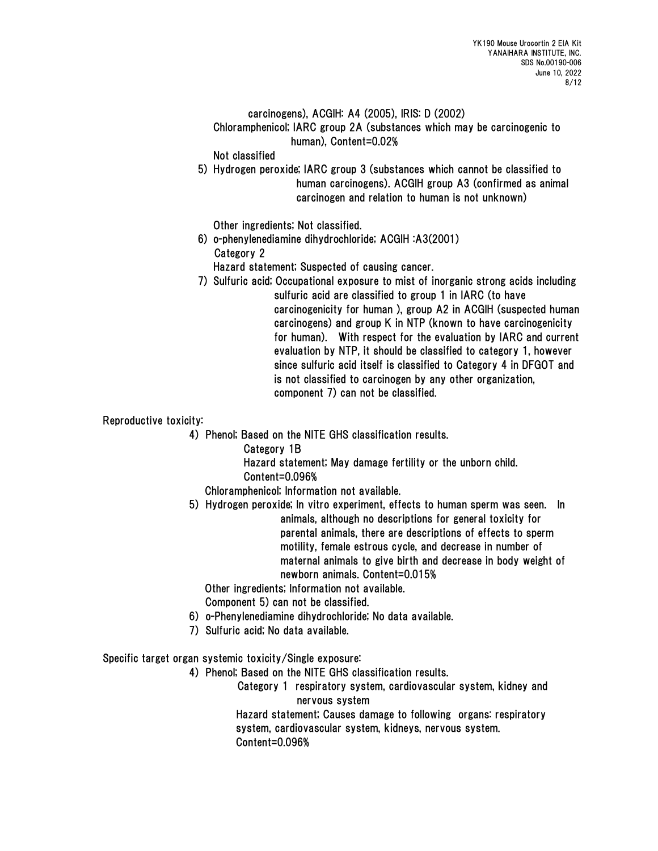### carcinogens), ACGIH: A4 (2005), IRIS: D (2002)

 Chloramphenicol; IARC group 2A (substances which may be carcinogenic to human), Content=0.02%

Not classified

 5) Hydrogen peroxide; IARC group 3 (substances which cannot be classified to human carcinogens). ACGIH group A3 (confirmed as animal carcinogen and relation to human is not unknown)

Other ingredients; Not classified.

6) o-phenylenediamine dihydrochloride; ACGIH :A3(2001) Category 2

Hazard statement; Suspected of causing cancer.

7) Sulfuric acid; Occupational exposure to mist of inorganic strong acids including sulfuric acid are classified to group 1 in IARC (to have carcinogenicity for human ), group A2 in ACGIH (suspected human carcinogens) and group K in NTP (known to have carcinogenicity for human). With respect for the evaluation by IARC and current evaluation by NTP, it should be classified to category 1, however since sulfuric acid itself is classified to Category 4 in DFGOT and is not classified to carcinogen by any other organization, component 7) can not be classified.

Reproductive toxicity:

4) Phenol; Based on the NITE GHS classification results.

Category 1B

 Hazard statement; May damage fertility or the unborn child. Content=0.096%

Chloramphenicol; Information not available.

 5) Hydrogen peroxide; In vitro experiment, effects to human sperm was seen. In animals, although no descriptions for general toxicity for parental animals, there are descriptions of effects to sperm motility, female estrous cycle, and decrease in number of maternal animals to give birth and decrease in body weight of newborn animals. Content=0.015%

Other ingredients; Information not available.

Component 5) can not be classified.

- 6) o-Phenylenediamine dihydrochloride; No data available.
- 7) Sulfuric acid; No data available.

Specific target organ systemic toxicity/Single exposure:

4) Phenol; Based on the NITE GHS classification results.

Category 1 respiratory system, cardiovascular system, kidney and nervous system

 Hazard statement; Causes damage to following organs: respiratory system, cardiovascular system, kidneys, nervous system. Content=0.096%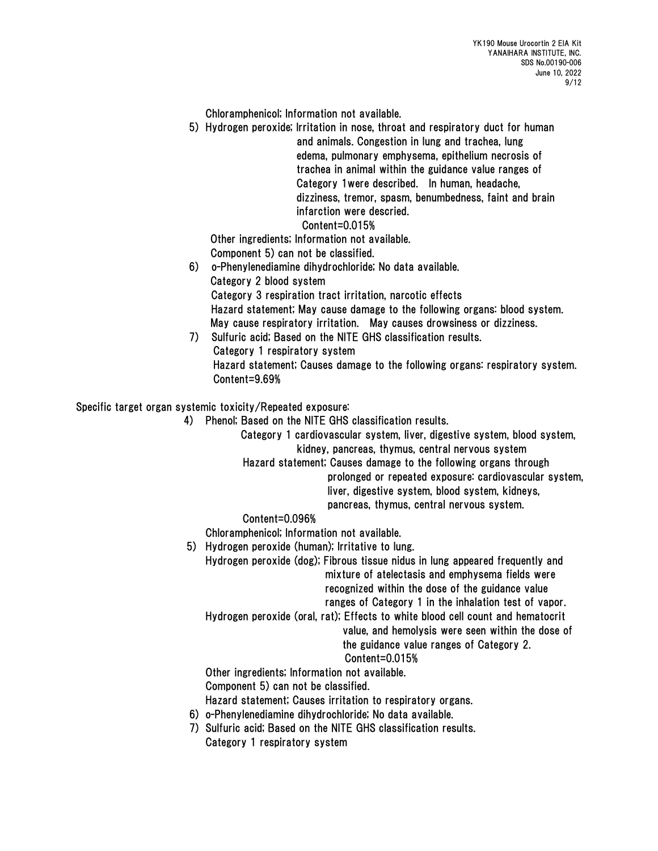Chloramphenicol; Information not available.

 5) Hydrogen peroxide; Irritation in nose, throat and respiratory duct for human and animals. Congestion in lung and trachea, lung edema, pulmonary emphysema, epithelium necrosis of trachea in animal within the guidance value ranges of Category 1were described. In human, headache, dizziness, tremor, spasm, benumbedness, faint and brain infarction were descried.

# Content=0.015%

 Other ingredients; Information not available. Component 5) can not be classified.

- 6) o-Phenylenediamine dihydrochloride; No data available. Category 2 blood system Category 3 respiration tract irritation, narcotic effects Hazard statement; May cause damage to the following organs: blood system. May cause respiratory irritation. May causes drowsiness or dizziness. 7) Sulfuric acid; Based on the NITE GHS classification results.
- Category 1 respiratory system Hazard statement; Causes damage to the following organs: respiratory system. Content=9.69%

Specific target organ systemic toxicity/Repeated exposure:

- 4) Phenol; Based on the NITE GHS classification results.
	- Category 1 cardiovascular system, liver, digestive system, blood system, kidney, pancreas, thymus, central nervous system

Hazard statement; Causes damage to the following organs through

prolonged or repeated exposure: cardiovascular system, liver, digestive system, blood system, kidneys,

pancreas, thymus, central nervous system.

### Content=0.096%

Chloramphenicol; Information not available.

5) Hydrogen peroxide (human); Irritative to lung.

 Hydrogen peroxide (dog); Fibrous tissue nidus in lung appeared frequently and mixture of atelectasis and emphysema fields were recognized within the dose of the guidance value ranges of Category 1 in the inhalation test of vapor.

Hydrogen peroxide (oral, rat); Effects to white blood cell count and hematocrit

value, and hemolysis were seen within the dose of

the guidance value ranges of Category 2.

## Content=0.015%

Other ingredients; Information not available.

Component 5) can not be classified.

Hazard statement; Causes irritation to respiratory organs.

- 6) o-Phenylenediamine dihydrochloride; No data available.
- 7) Sulfuric acid; Based on the NITE GHS classification results. Category 1 respiratory system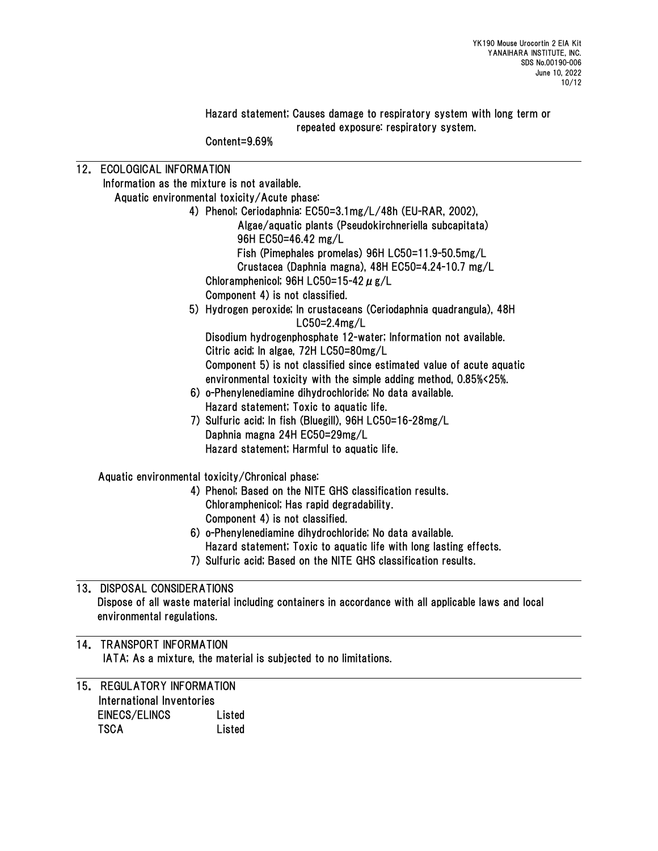Hazard statement; Causes damage to respiratory system with long term or repeated exposure: respiratory system.

Content=9.69%

| 12. ECOLOGICAL INFORMATION                   |                                                                                                     |  |  |  |  |  |
|----------------------------------------------|-----------------------------------------------------------------------------------------------------|--|--|--|--|--|
| Information as the mixture is not available. |                                                                                                     |  |  |  |  |  |
| Aquatic environmental toxicity/Acute phase:  |                                                                                                     |  |  |  |  |  |
|                                              | 4) Phenol; Ceriodaphnia: EC50=3.1mg/L/48h (EU-RAR, 2002),                                           |  |  |  |  |  |
|                                              | Algae/aquatic plants (Pseudokirchneriella subcapitata)                                              |  |  |  |  |  |
|                                              | 96H EC50=46.42 mg/L                                                                                 |  |  |  |  |  |
|                                              | Fish (Pimephales promelas) 96H LC50=11.9-50.5mg/L                                                   |  |  |  |  |  |
|                                              | Crustacea (Daphnia magna), 48H EC50=4.24-10.7 mg/L                                                  |  |  |  |  |  |
|                                              | Chloramphenicol; 96H LC50=15-42 $\mu$ g/L                                                           |  |  |  |  |  |
|                                              | Component 4) is not classified.                                                                     |  |  |  |  |  |
|                                              | 5) Hydrogen peroxide; In crustaceans (Ceriodaphnia quadrangula), 48H                                |  |  |  |  |  |
|                                              | $L$ C50=2.4mg/L                                                                                     |  |  |  |  |  |
|                                              | Disodium hydrogenphosphate 12-water; Information not available.                                     |  |  |  |  |  |
|                                              | Citric acid; In algae, 72H LC50=80mg/L                                                              |  |  |  |  |  |
|                                              | Component 5) is not classified since estimated value of acute aquatic                               |  |  |  |  |  |
|                                              | environmental toxicity with the simple adding method, 0.85%<25%.                                    |  |  |  |  |  |
|                                              | 6) o-Phenylenediamine dihydrochloride; No data available.                                           |  |  |  |  |  |
|                                              | Hazard statement; Toxic to aquatic life.                                                            |  |  |  |  |  |
|                                              | 7) Sulfuric acid; In fish (Bluegill), 96H LC50=16-28mg/L                                            |  |  |  |  |  |
|                                              | Daphnia magna 24H EC50=29mg/L                                                                       |  |  |  |  |  |
|                                              | Hazard statement; Harmful to aquatic life.                                                          |  |  |  |  |  |
|                                              | Aquatic environmental toxicity/Chronical phase:                                                     |  |  |  |  |  |
|                                              | 4) Phenol; Based on the NITE GHS classification results.                                            |  |  |  |  |  |
|                                              | Chloramphenicol, Has rapid degradability.                                                           |  |  |  |  |  |
|                                              | Component 4) is not classified.                                                                     |  |  |  |  |  |
|                                              | 6) o-Phenylenediamine dihydrochloride; No data available.                                           |  |  |  |  |  |
|                                              | Hazard statement, Toxic to aquatic life with long lasting effects.                                  |  |  |  |  |  |
|                                              | 7) Sulfuric acid; Based on the NITE GHS classification results.                                     |  |  |  |  |  |
| 13. DISPOSAL CONSIDERATIONS                  |                                                                                                     |  |  |  |  |  |
|                                              | Dispose of all waste material including containers in accordance with all applicable laws and local |  |  |  |  |  |
| environmental regulations.                   |                                                                                                     |  |  |  |  |  |
| 14. TRANSPORT INFORMATION                    |                                                                                                     |  |  |  |  |  |
|                                              | IATA; As a mixture, the material is subjected to no limitations.                                    |  |  |  |  |  |
| 15. REGULATORY INFORMATION                   |                                                                                                     |  |  |  |  |  |
| International Inventories                    |                                                                                                     |  |  |  |  |  |
| <b>EINEOR /EL INOR</b>                       | أممان المستحدث                                                                                      |  |  |  |  |  |

EINECS/ELINCS Listed TSCA Listed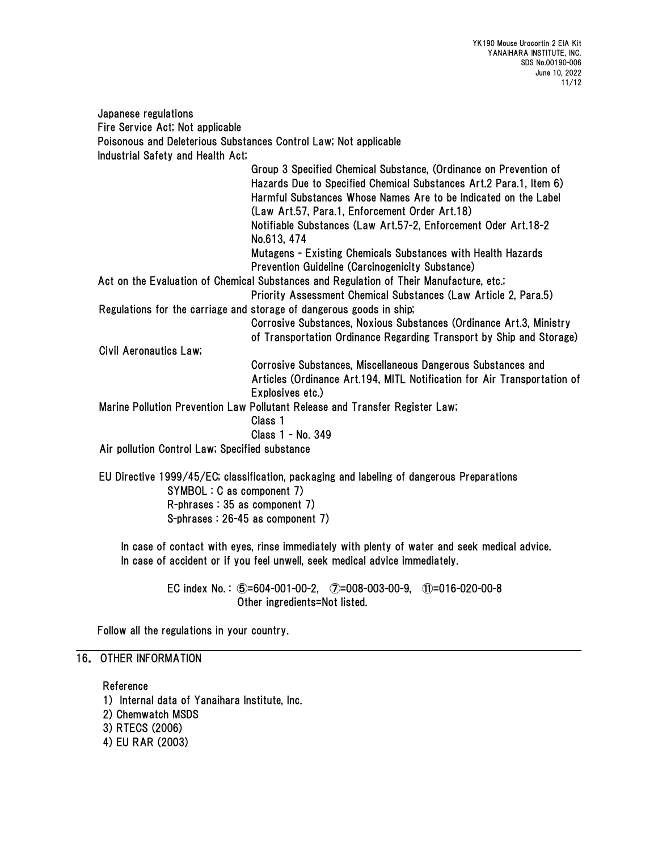Japanese regulations Fire Service Act; Not applicable Poisonous and Deleterious Substances Control Law; Not applicable Industrial Safety and Health Act; Group 3 Specified Chemical Substance, (Ordinance on Prevention of Hazards Due to Specified Chemical Substances Art.2 Para.1, Item 6) Harmful Substances Whose Names Are to be Indicated on the Label (Law Art.57, Para.1, Enforcement Order Art.18) Notifiable Substances (Law Art.57-2, Enforcement Oder Art.18-2 No.613, 474 Mutagens - Existing Chemicals Substances with Health Hazards Prevention Guideline (Carcinogenicity Substance) Act on the Evaluation of Chemical Substances and Regulation of Their Manufacture, etc.; Priority Assessment Chemical Substances (Law Article 2, Para.5) Regulations for the carriage and storage of dangerous goods in ship; Corrosive Substances, Noxious Substances (Ordinance Art.3, Ministry of Transportation Ordinance Regarding Transport by Ship and Storage) Civil Aeronautics Law; Corrosive Substances, Miscellaneous Dangerous Substances and Articles (Ordinance Art.194, MITL Notification for Air Transportation of Explosives etc.) Marine Pollution Prevention Law Pollutant Release and Transfer Register Law; Class 1 Class 1 - No. 349 Air pollution Control Law; Specified substance

EU Directive 1999/45/EC; classification, packaging and labeling of dangerous Preparations SYMBOL : C as component 7) R-phrases : 35 as component 7) S-phrases : 26-45 as component 7)

In case of contact with eyes, rinse immediately with plenty of water and seek medical advice. In case of accident or if you feel unwell, seek medical advice immediately.

> EC index No. : ⑤=604-001-00-2, ⑦=008-003-00-9, ⑪=016-020-00-8 Other ingredients=Not listed.

Follow all the regulations in your country.

### 16. OTHER INFORMATION

Reference

- 1) Internal data of Yanaihara Institute, Inc.
- 2) Chemwatch MSDS
- 3) RTECS (2006)
- 4) EU RAR (2003)